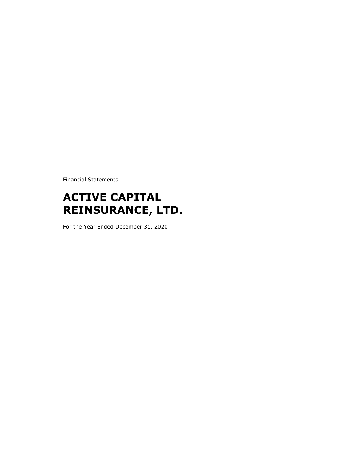Financial Statements

# **ACTIVE CAPITAL REINSURANCE, LTD.**

For the Year Ended December 31, 2020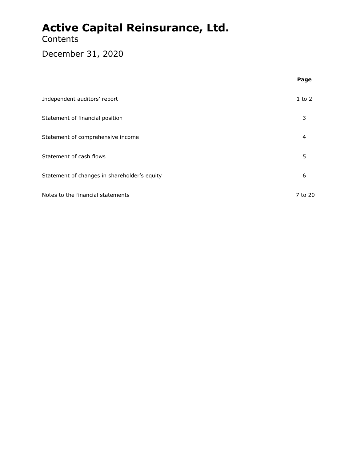### **Contents**

### December 31, 2020

|                                              | Page       |
|----------------------------------------------|------------|
| Independent auditors' report                 | $1$ to $2$ |
| Statement of financial position              | 3          |
| Statement of comprehensive income            | 4          |
| Statement of cash flows                      | 5          |
| Statement of changes in shareholder's equity | 6          |
| Notes to the financial statements            | 7 to 20    |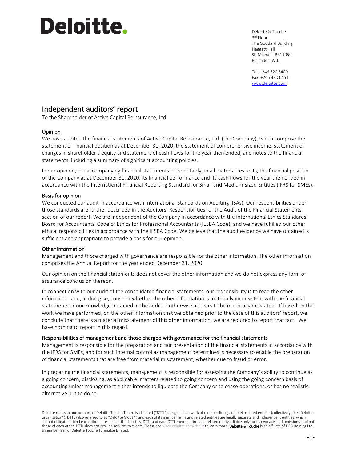# **Deloitte.**

Deloitte & Touche 3 rd Floor The Goddard Building Haggatt Hall St. Michael, BB11059 Barbados, W.I.

Tel: +246 620 6400 Fax: +246 430 6451 [www.deloitte.com](http://www.deloitte.com/)

#### Independent auditors' report

To the Shareholder of Active Capital Reinsurance, Ltd.

#### Opinion

We have audited the financial statements of Active Capital Reinsurance, Ltd. (the Company), which comprise the statement of financial position as at December 31, 2020, the statement of comprehensive income, statement of changes in shareholder's equity and statement of cash flows for the year then ended, and notes to the financial statements, including a summary of significant accounting policies.

In our opinion, the accompanying financial statements present fairly, in all material respects, the financial position of the Company as at December 31, 2020, its financial performance and its cash flows for the year then ended in accordance with the International Financial Reporting Standard for Small and Medium-sized Entities (IFRS for SMEs).

#### Basis for opinion

We conducted our audit in accordance with International Standards on Auditing (ISAs). Our responsibilities under those standards are further described in the Auditors' Responsibilities for the Audit of the Financial Statements section of our report. We are independent of the Company in accordance with the International Ethics Standards Board for Accountants' Code of Ethics for Professional Accountants (IESBA Code), and we have fulfilled our other ethical responsibilities in accordance with the IESBA Code. We believe that the audit evidence we have obtained is sufficient and appropriate to provide a basis for our opinion.

#### Other information

Management and those charged with governance are responsible for the other information. The other information comprises the Annual Report for the year ended December 31, 2020.

Our opinion on the financial statements does not cover the other information and we do not express any form of assurance conclusion thereon.

In connection with our audit of the consolidated financial statements, our responsibility is to read the other information and, in doing so, consider whether the other information is materially inconsistent with the financial statements or our knowledge obtained in the audit or otherwise appears to be materially misstated. If based on the work we have performed, on the other information that we obtained prior to the date of this auditors' report, we conclude that there is a material misstatement of this other information, we are required to report that fact. We have nothing to report in this regard.

#### Responsibilities of management and those charged with governance for the financial statements

Management is responsible for the preparation and fair presentation of the financial statements in accordance with the IFRS for SMEs, and for such internal control as management determines is necessary to enable the preparation of financial statements that are free from material misstatement, whether due to fraud or error.

In preparing the financial statements, management is responsible for assessing the Company's ability to continue as a going concern, disclosing, as applicable, matters related to going concern and using the going concern basis of accounting unless management either intends to liquidate the Company or to cease operations, or has no realistic alternative but to do so.

Deloitte refers to one or more of Deloitte Touche Tohmatsu Limited ("DTTL"), its global network of member firms, and their related entities (collectively, the "Deloitte organization"). DTTL (also referred to as "Deloitte Global") and each of its member firms and related entities are legally separate and independent entities, which cannot obligate or bind each other in respect of third parties. DTTL and each DTTL member firm and related entity is liable only for its own acts and omissions, and not those of each other. DTTL does not provide services to clients. Please see [www.deloitte.com/about](https://www.deloitte.com/about) to learn more. Deloitte & Touche is an affiliate of DCB Holding Ltd., a member firm of Deloitte Touche Tohmatsu Limited.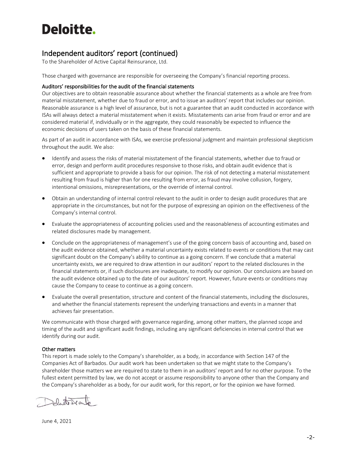# Deloitte.

#### Independent auditors' report (continued)

To the Shareholder of Active Capital Reinsurance, Ltd.

Those charged with governance are responsible for overseeing the Company's financial reporting process.

#### Auditors' responsibilities for the audit of the financial statements

Our objectives are to obtain reasonable assurance about whether the financial statements as a whole are free from material misstatement, whether due to fraud or error, and to issue an auditors' report that includes our opinion. Reasonable assurance is a high level of assurance, but is not a guarantee that an audit conducted in accordance with ISAs will always detect a material misstatement when it exists. Misstatements can arise from fraud or error and are considered material if, individually or in the aggregate, they could reasonably be expected to influence the economic decisions of users taken on the basis of these financial statements.

As part of an audit in accordance with ISAs, we exercise professional judgment and maintain professional skepticism throughout the audit. We also:

- Identify and assess the risks of material misstatement of the financial statements, whether due to fraud or error, design and perform audit procedures responsive to those risks, and obtain audit evidence that is sufficient and appropriate to provide a basis for our opinion. The risk of not detecting a material misstatement resulting from fraud is higher than for one resulting from error, as fraud may involve collusion, forgery, intentional omissions, misrepresentations, or the override of internal control.
- Obtain an understanding of internal control relevant to the audit in order to design audit procedures that are appropriate in the circumstances, but not for the purpose of expressing an opinion on the effectiveness of the Company's internal control.
- Evaluate the appropriateness of accounting policies used and the reasonableness of accounting estimates and related disclosures made by management.
- Conclude on the appropriateness of management's use of the going concern basis of accounting and, based on the audit evidence obtained, whether a material uncertainty exists related to events or conditions that may cast significant doubt on the Company's ability to continue as a going concern. If we conclude that a material uncertainty exists, we are required to draw attention in our auditors' report to the related disclosures in the financial statements or, if such disclosures are inadequate, to modify our opinion. Our conclusions are based on the audit evidence obtained up to the date of our auditors' report. However, future events or conditions may cause the Company to cease to continue as a going concern.
- Evaluate the overall presentation, structure and content of the financial statements, including the disclosures, and whether the financial statements represent the underlying transactions and events in a manner that achieves fair presentation.

We communicate with those charged with governance regarding, among other matters, the planned scope and timing of the audit and significant audit findings, including any significant deficiencies in internal control that we identify during our audit.

#### Other matters

This report is made solely to the Company's shareholder, as a body, in accordance with Section 147 of the Companies Act of Barbados. Our audit work has been undertaken so that we might state to the Company's shareholder those matters we are required to state to them in an auditors' report and for no other purpose. To the fullest extent permitted by law, we do not accept or assume responsibility to anyone other than the Company and the Company's shareholder as a body, for our audit work, for this report, or for the opinion we have formed.

Delucto De outro

June 4, 2021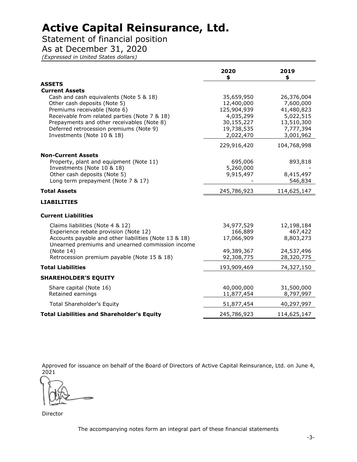### Statement of financial position

As at December 31, 2020

*(Expressed in United States dollars)*

|                                                                                                           | 2020<br>\$              | 2019<br>\$              |
|-----------------------------------------------------------------------------------------------------------|-------------------------|-------------------------|
| <b>ASSETS</b>                                                                                             |                         |                         |
| <b>Current Assets</b>                                                                                     |                         |                         |
| Cash and cash equivalents (Note 5 & 18)                                                                   | 35,659,950              | 26,376,004              |
| Other cash deposits (Note 5)                                                                              | 12,400,000              | 7,600,000               |
| Premiums receivable (Note 6)                                                                              | 125,904,939             | 41,480,823              |
| Receivable from related parties (Note 7 & 18)<br>Prepayments and other receivables (Note 8)               | 4,035,299<br>30,155,227 | 5,022,515<br>13,510,300 |
| Deferred retrocession premiums (Note 9)                                                                   | 19,738,535              | 7,777,394               |
| Investments (Note 10 & 18)                                                                                | 2,022,470               | 3,001,962               |
|                                                                                                           | 229,916,420             | 104,768,998             |
| <b>Non-Current Assets</b>                                                                                 |                         |                         |
| Property, plant and equipment (Note 11)                                                                   | 695,006                 | 893,818                 |
| Investments (Note 10 & 18)                                                                                | 5,260,000               |                         |
| Other cash deposits (Note 5)                                                                              | 9,915,497               | 8,415,497               |
| Long term prepayment (Note 7 & 17)                                                                        |                         | 546,834                 |
| <b>Total Assets</b>                                                                                       | 245,786,923             | 114,625,147             |
| <b>LIABILITIES</b>                                                                                        |                         |                         |
| <b>Current Liabilities</b>                                                                                |                         |                         |
| Claims liabilities (Note 4 & 12)                                                                          | 34,977,529              | 12,198,184              |
| Experience rebate provision (Note 12)                                                                     | 166,889                 | 467,422                 |
| Accounts payable and other liabilities (Note 13 & 18)<br>Unearned premiums and unearned commission income | 17,066,909              | 8,803,273               |
| (Note 14)                                                                                                 | 49,389,367              | 24,537,496              |
| Retrocession premium payable (Note 15 & 18)                                                               | 92,308,775              | 28,320,775              |
| <b>Total Liabilities</b>                                                                                  | 193,909,469             | 74,327,150              |
| <b>SHAREHOLDER'S EQUITY</b>                                                                               |                         |                         |
| Share capital (Note 16)                                                                                   | 40,000,000              | 31,500,000              |
| Retained earnings                                                                                         | 11,877,454              | 8,797,997               |
| <b>Total Shareholder's Equity</b>                                                                         | 51,877,454              | 40,297,997              |
| <b>Total Liabilities and Shareholder's Equity</b>                                                         | 245,786,923             | 114,625,147             |
|                                                                                                           |                         |                         |

Approved for issuance on behalf of the Board of Directors of Active Capital Reinsurance, Ltd. on June 4, 2021

Director

The accompanying notes form an integral part of these financial statements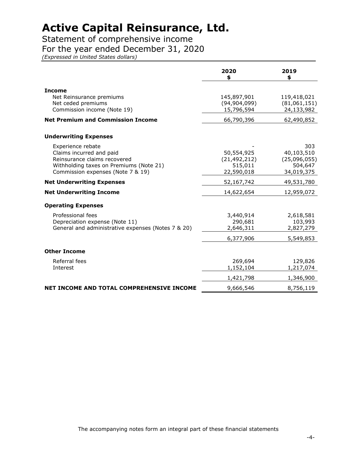Statement of comprehensive income

#### For the year ended December 31, 2020

*(Expressed in United States dollars)*

|                                                                                                                                                               | 2020<br>\$                                            | 2019<br>\$                                                 |
|---------------------------------------------------------------------------------------------------------------------------------------------------------------|-------------------------------------------------------|------------------------------------------------------------|
| <b>Income</b><br>Net Reinsurance premiums<br>Net ceded premiums<br>Commission income (Note 19)                                                                | 145,897,901<br>(94, 904, 099)<br>15,796,594           | 119,418,021<br>(81,061,151)<br>24,133,982                  |
| <b>Net Premium and Commission Income</b>                                                                                                                      | 66,790,396                                            | 62,490,852                                                 |
| <b>Underwriting Expenses</b>                                                                                                                                  |                                                       |                                                            |
| Experience rebate<br>Claims incurred and paid<br>Reinsurance claims recovered<br>Withholding taxes on Premiums (Note 21)<br>Commission expenses (Note 7 & 19) | 50,554,925<br>(21, 492, 212)<br>515,011<br>22,590,018 | 303<br>40,103,510<br>(25,096,055)<br>504,647<br>34,019,375 |
| <b>Net Underwriting Expenses</b>                                                                                                                              | 52,167,742                                            | 49,531,780                                                 |
| <b>Net Underwriting Income</b>                                                                                                                                | 14,622,654                                            | 12,959,072                                                 |
| <b>Operating Expenses</b>                                                                                                                                     |                                                       |                                                            |
| Professional fees<br>Depreciation expense (Note 11)<br>General and administrative expenses (Notes 7 & 20)                                                     | 3,440,914<br>290,681<br>2,646,311<br>6,377,906        | 2,618,581<br>103,993<br>2,827,279<br>5,549,853             |
| <b>Other Income</b>                                                                                                                                           |                                                       |                                                            |
| Referral fees<br>Interest                                                                                                                                     | 269,694<br>1,152,104                                  | 129,826<br>1,217,074                                       |
|                                                                                                                                                               | 1,421,798                                             | 1,346,900                                                  |
| NET INCOME AND TOTAL COMPREHENSIVE INCOME                                                                                                                     | 9,666,546                                             | 8,756,119                                                  |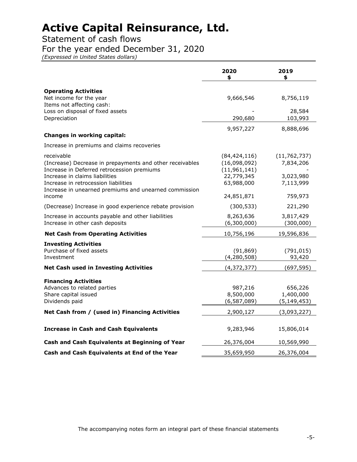Statement of cash flows

For the year ended December 31, 2020

*(Expressed in United States dollars)*

|                                                                                                                                                                                                                                                         | 2020<br>\$                                                                   | 2019<br>\$                                            |
|---------------------------------------------------------------------------------------------------------------------------------------------------------------------------------------------------------------------------------------------------------|------------------------------------------------------------------------------|-------------------------------------------------------|
| <b>Operating Activities</b><br>Net income for the year<br>Items not affecting cash:<br>Loss on disposal of fixed assets                                                                                                                                 | 9,666,546                                                                    | 8,756,119<br>28,584                                   |
| Depreciation                                                                                                                                                                                                                                            | 290,680<br>9,957,227                                                         | 103,993<br>8,888,696                                  |
| Changes in working capital:                                                                                                                                                                                                                             |                                                                              |                                                       |
| Increase in premiums and claims recoveries                                                                                                                                                                                                              |                                                                              |                                                       |
| receivable<br>(Increase) Decrease in prepayments and other receivables<br>Increase in Deferred retrocession premiums<br>Increase in claims liabilities<br>Increase in retrocession liabilities<br>Increase in unearned premiums and unearned commission | (84, 424, 116)<br>(16,098,092)<br>(11, 961, 141)<br>22,779,345<br>63,988,000 | (11, 762, 737)<br>7,834,206<br>3,023,980<br>7,113,999 |
| income                                                                                                                                                                                                                                                  | 24,851,871                                                                   | 759,973                                               |
| (Decrease) Increase in good experience rebate provision                                                                                                                                                                                                 | (300, 533)                                                                   | 221,290                                               |
| Increase in accounts payable and other liabilities<br>Increase in other cash deposits                                                                                                                                                                   | 8,263,636<br>(6,300,000)                                                     | 3,817,429<br>(300,000)                                |
| <b>Net Cash from Operating Activities</b>                                                                                                                                                                                                               | 10,756,196                                                                   | 19,596,836                                            |
| <b>Investing Activities</b><br>Purchase of fixed assets<br>Investment                                                                                                                                                                                   | (91, 869)<br>(4, 280, 508)                                                   | (791, 015)<br>93,420                                  |
| <b>Net Cash used in Investing Activities</b>                                                                                                                                                                                                            | (4,372,377)                                                                  | (697, 595)                                            |
| <b>Financing Activities</b><br>Advances to related parties<br>Share capital issued<br>Dividends paid                                                                                                                                                    | 987,216<br>8,500,000<br>(6, 587, 089)                                        | 656,226<br>1,400,000<br>(5, 149, 453)                 |
| Net Cash from / (used in) Financing Activities                                                                                                                                                                                                          | 2,900,127                                                                    | (3,093,227)                                           |
| <b>Increase in Cash and Cash Equivalents</b>                                                                                                                                                                                                            | 9,283,946                                                                    | 15,806,014                                            |
| Cash and Cash Equivalents at Beginning of Year                                                                                                                                                                                                          | 26,376,004                                                                   | 10,569,990                                            |
| Cash and Cash Equivalents at End of the Year                                                                                                                                                                                                            | 35,659,950                                                                   | 26,376,004                                            |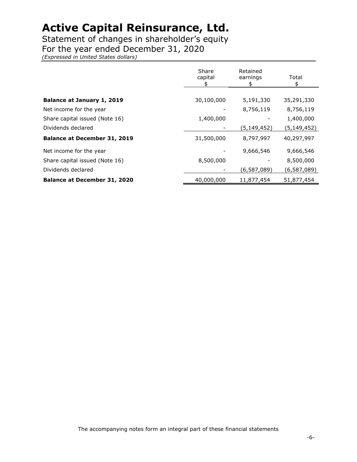Statement of changes in shareholder's equity

For the year ended December 31, 2020

*(Expressed in United States dollars)*

|                                     | Share<br>capital<br>\$ | Retained<br>earnings<br>\$ | Total<br>\$   |
|-------------------------------------|------------------------|----------------------------|---------------|
|                                     |                        |                            |               |
| Balance at January 1, 2019          | 30,100,000             | 5,191,330                  | 35,291,330    |
| Net income for the year             |                        | 8,756,119                  | 8,756,119     |
| Share capital issued (Note 16)      | 1,400,000              |                            | 1,400,000     |
| Dividends declared                  |                        | (5, 149, 452)              | (5, 149, 452) |
| <b>Balance at December 31, 2019</b> | 31,500,000             | 8,797,997                  | 40,297,997    |
| Net income for the year             |                        | 9,666,546                  | 9,666,546     |
| Share capital issued (Note 16)      | 8,500,000              |                            | 8,500,000     |
| Dividends declared                  |                        | (6,587,089)                | (6, 587, 089) |
| <b>Balance at December 31, 2020</b> | 40,000,000             | 11,877,454                 | 51,877,454    |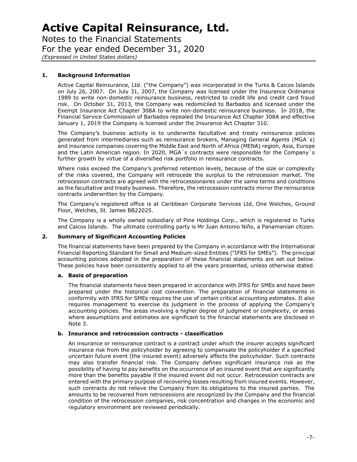Notes to the Financial Statements For the year ended December 31, 2020 *(Expressed in United States dollars)*

#### **1. Background Information**

Active Capital Reinsurance, Ltd. ("the Company") was incorporated in the Turks & Caicos Islands on July 26, 2007. On July 31, 2007, the Company was licensed under the Insurance Ordinance 1989 to write non-domestic reinsurance business, restricted to credit life and credit card fraud risk. On October 31, 2013, the Company was redomiciled to Barbados and licensed under the Exempt Insurance Act Chapter 308A to write non-domestic reinsurance business. In 2018, the Financial Service Commission of Barbados repealed the Insurance Act Chapter 308A and effective January 1, 2019 the Company is licensed under the Insurance Act Chapter 310.

The Company's business activity is to underwrite facultative and treaty reinsurance policies generated from intermediaries such as reinsurance brokers, Managing General Agents (MGA´s) and insurance companies covering the Middle East and North of Africa (MENA) region, Asia, Europe and the Latin American region. In 2020, MGA´s contracts were responsible for the Company´s further growth by virtue of a diversified risk portfolio in reinsurance contracts.

Where risks exceed the Company's preferred retention levels, because of the size or complexity of the risks covered, the Company will retrocede the surplus to the retrocession market. The retrocession contracts are agreed with the retrocessionaires under the same terms and conditions as the facultative and treaty business. Therefore, the retrocession contracts mirror the reinsurance contracts underwritten by the Company.

The Company's registered office is at Caribbean Corporate Services Ltd, One Welches, Ground Floor, Welches, St. James BB22025.

The Company is a wholly owned subsidiary of Pine Holdings Corp., which is registered in Turks and Caicos Islands. The ultimate controlling party is Mr Juan Antonio Niño, a Panamanian citizen.

#### **2. Summary of Significant Accounting Policies**

The financial statements have been prepared by the Company in accordance with the International Financial Reporting Standard for Small and Medium-sized Entities ("IFRS for SMEs"). The principal accounting policies adopted in the preparation of these financial statements are set out below. These policies have been consistently applied to all the years presented, unless otherwise stated.

#### **a. Basis of preparation**

The financial statements have been prepared in accordance with IFRS for SMEs and have been prepared under the historical cost convention. The preparation of financial statements in conformity with IFRS for SMEs requires the use of certain critical accounting estimates. It also requires management to exercise its judgment in the process of applying the Company's accounting policies. The areas involving a higher degree of judgment or complexity, or areas where assumptions and estimates are significant to the financial statements are disclosed in Note 3.

#### **b. Insurance and retrocession contracts - classification**

An insurance or reinsurance contract is a contract under which the insurer accepts significant insurance risk from the policyholder by agreeing to compensate the policyholder if a specified uncertain future event (the insured event) adversely affects the policyholder. Such contracts may also transfer financial risk. The Company defines significant insurance risk as the possibility of having to pay benefits on the occurrence of an insured event that are significantly more than the benefits payable if the insured event did not occur. Retrocession contracts are entered with the primary purpose of recovering losses resulting from insured events. However, such contracts do not relieve the Company from its obligations to the insured parties. The amounts to be recovered from retrocessions are recognized by the Company and the financial condition of the retrocession companies, risk concentration and changes in the economic and regulatory environment are reviewed periodically.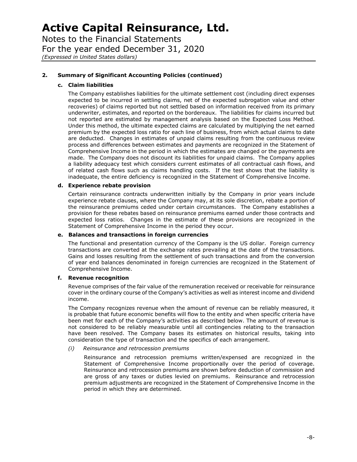Notes to the Financial Statements For the year ended December 31, 2020 *(Expressed in United States dollars)*

#### **2. Summary of Significant Accounting Policies (continued)**

#### **c. Claim liabilities**

The Company establishes liabilities for the ultimate settlement cost (including direct expenses expected to be incurred in settling claims, net of the expected subrogation value and other recoveries) of claims reported but not settled based on information received from its primary underwriter, estimates, and reported on the bordereaux. The liabilities for claims incurred but not reported are estimated by management analysis based on the Expected Loss Method. Under this method, the ultimate expected claims are calculated by multiplying the net earned premium by the expected loss ratio for each line of business, from which actual claims to date are deducted. Changes in estimates of unpaid claims resulting from the continuous review process and differences between estimates and payments are recognized in the Statement of Comprehensive Income in the period in which the estimates are changed or the payments are made. The Company does not discount its liabilities for unpaid claims. The Company applies a liability adequacy test which considers current estimates of all contractual cash flows, and of related cash flows such as claims handling costs. If the test shows that the liability is inadequate, the entire deficiency is recognized in the Statement of Comprehensive Income.

#### **d. Experience rebate provision**

Certain reinsurance contracts underwritten initially by the Company in prior years include experience rebate clauses, where the Company may, at its sole discretion, rebate a portion of the reinsurance premiums ceded under certain circumstances. The Company establishes a provision for these rebates based on reinsurance premiums earned under those contracts and expected loss ratios. Changes in the estimate of these provisions are recognized in the Statement of Comprehensive Income in the period they occur.

#### **e. Balances and transactions in foreign currencies**

The functional and presentation currency of the Company is the US dollar. Foreign currency transactions are converted at the exchange rates prevailing at the date of the transactions. Gains and losses resulting from the settlement of such transactions and from the conversion of year end balances denominated in foreign currencies are recognized in the Statement of Comprehensive Income.

#### **f. Revenue recognition**

Revenue comprises of the fair value of the remuneration received or receivable for reinsurance cover in the ordinary course of the Company's activities as well as interest income and dividend income.

The Company recognizes revenue when the amount of revenue can be reliably measured, it is probable that future economic benefits will flow to the entity and when specific criteria have been met for each of the Company's activities as described below. The amount of revenue is not considered to be reliably measurable until all contingencies relating to the transaction have been resolved. The Company bases its estimates on historical results, taking into consideration the type of transaction and the specifics of each arrangement.

#### *(i) Reinsurance and retrocession premiums*

Reinsurance and retrocession premiums written/expensed are recognized in the Statement of Comprehensive Income proportionally over the period of coverage. Reinsurance and retrocession premiums are shown before deduction of commission and are gross of any taxes or duties levied on premiums. Reinsurance and retrocession premium adjustments are recognized in the Statement of Comprehensive Income in the period in which they are determined.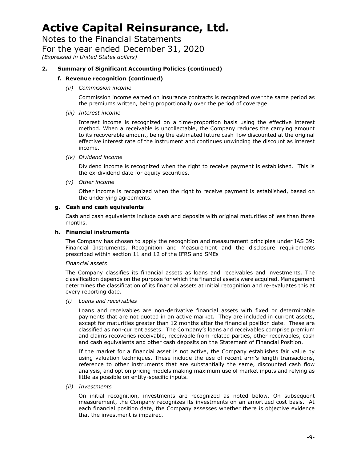Notes to the Financial Statements For the year ended December 31, 2020 *(Expressed in United States dollars)*

#### **2. Summary of Significant Accounting Policies (continued)**

#### **f. Revenue recognition (continued)**

*(ii) Commission income*

Commission income earned on insurance contracts is recognized over the same period as the premiums written, being proportionally over the period of coverage.

*(iii) Interest income*

Interest income is recognized on a time-proportion basis using the effective interest method. When a receivable is uncollectable, the Company reduces the carrying amount to its recoverable amount, being the estimated future cash flow discounted at the original effective interest rate of the instrument and continues unwinding the discount as interest income.

*(iv) Dividend income*

Dividend income is recognized when the right to receive payment is established. This is the ex-dividend date for equity securities.

*(v) Other income*

Other income is recognized when the right to receive payment is established, based on the underlying agreements.

#### **g. Cash and cash equivalents**

Cash and cash equivalents include cash and deposits with original maturities of less than three months.

#### **h. Financial instruments**

The Company has chosen to apply the recognition and measurement principles under IAS 39: Financial Instruments, Recognition and Measurement and the disclosure requirements prescribed within section 11 and 12 of the IFRS and SMEs

#### *Financial assets*

The Company classifies its financial assets as loans and receivables and investments. The classification depends on the purpose for which the financial assets were acquired. Management determines the classification of its financial assets at initial recognition and re-evaluates this at every reporting date.

*(i) Loans and receivables*

Loans and receivables are non-derivative financial assets with fixed or determinable payments that are not quoted in an active market. They are included in current assets, except for maturities greater than 12 months after the financial position date. These are classified as non-current assets. The Company's loans and receivables comprise premium and claims recoveries receivable, receivable from related parties, other receivables, cash and cash equivalents and other cash deposits on the Statement of Financial Position.

If the market for a financial asset is not active, the Company establishes fair value by using valuation techniques. These include the use of recent arm's length transactions, reference to other instruments that are substantially the same, discounted cash flow analysis, and option pricing models making maximum use of market inputs and relying as little as possible on entity-specific inputs.

*(ii) Investments*

On initial recognition, investments are recognized as noted below. On subsequent measurement, the Company recognizes its investments on an amortized cost basis. At each financial position date, the Company assesses whether there is objective evidence that the investment is impaired.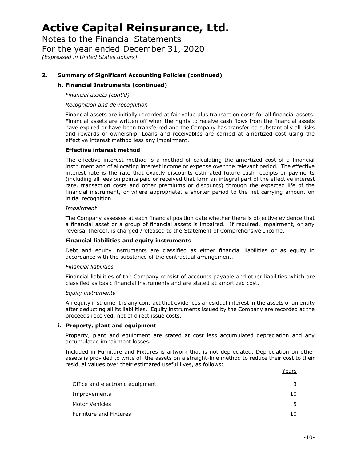Notes to the Financial Statements For the year ended December 31, 2020 *(Expressed in United States dollars)*

#### **2. Summary of Significant Accounting Policies (continued)**

#### **h. Financial Instruments (continued)**

*Financial assets (cont'd)*

*Recognition and de-recognition*

Financial assets are initially recorded at fair value plus transaction costs for all financial assets. Financial assets are written off when the rights to receive cash flows from the financial assets have expired or have been transferred and the Company has transferred substantially all risks and rewards of ownership. Loans and receivables are carried at amortized cost using the effective interest method less any impairment.

#### **Effective interest method**

The effective interest method is a method of calculating the amortized cost of a financial instrument and of allocating interest income or expense over the relevant period. The effective interest rate is the rate that exactly discounts estimated future cash receipts or payments (including all fees on points paid or received that form an integral part of the effective interest rate, transaction costs and other premiums or discounts) through the expected life of the financial instrument, or where appropriate, a shorter period to the net carrying amount on initial recognition.

#### *Impairment*

The Company assesses at each financial position date whether there is objective evidence that a financial asset or a group of financial assets is impaired. If required, impairment, or any reversal thereof, is charged /released to the Statement of Comprehensive Income.

#### **Financial liabilities and equity instruments**

Debt and equity instruments are classified as either financial liabilities or as equity in accordance with the substance of the contractual arrangement.

#### *Financial liabilities*

Financial liabilities of the Company consist of accounts payable and other liabilities which are classified as basic financial instruments and are stated at amortized cost.

#### *Equity instruments*

An equity instrument is any contract that evidences a residual interest in the assets of an entity after deducting all its liabilities. Equity instruments issued by the Company are recorded at the proceeds received, net of direct issue costs.

#### **i. Property, plant and equipment**

Property, plant and equipment are stated at cost less accumulated depreciation and any accumulated impairment losses.

Included in Furniture and Fixtures is artwork that is not depreciated. Depreciation on other assets is provided to write off the assets on a straight-line method to reduce their cost to their residual values over their estimated useful lives, as follows:

|                                 | , cai b |
|---------------------------------|---------|
| Office and electronic equipment |         |
| Improvements                    | 10      |
| Motor Vehicles                  | 5       |
| <b>Furniture and Fixtures</b>   | 10      |

**Years**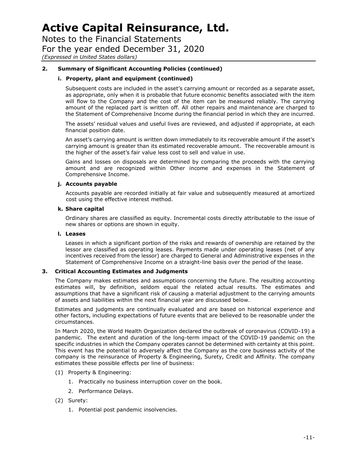Notes to the Financial Statements For the year ended December 31, 2020 *(Expressed in United States dollars)*

#### **2. Summary of Significant Accounting Policies (continued)**

#### **i. Property, plant and equipment (continued)**

Subsequent costs are included in the asset's carrying amount or recorded as a separate asset, as appropriate, only when it is probable that future economic benefits associated with the item will flow to the Company and the cost of the item can be measured reliably. The carrying amount of the replaced part is written off. All other repairs and maintenance are charged to the Statement of Comprehensive Income during the financial period in which they are incurred.

The assets' residual values and useful lives are reviewed, and adjusted if appropriate, at each financial position date.

An asset's carrying amount is written down immediately to its recoverable amount if the asset's carrying amount is greater than its estimated recoverable amount. The recoverable amount is the higher of the asset's fair value less cost to sell and value in use.

Gains and losses on disposals are determined by comparing the proceeds with the carrying amount and are recognized within Other income and expenses in the Statement of Comprehensive Income.

#### **j. Accounts payable**

Accounts payable are recorded initially at fair value and subsequently measured at amortized cost using the effective interest method.

#### **k. Share capital**

Ordinary shares are classified as equity. Incremental costs directly attributable to the issue of new shares or options are shown in equity.

#### **l. Leases**

Leases in which a significant portion of the risks and rewards of ownership are retained by the lessor are classified as operating leases. Payments made under operating leases (net of any incentives received from the lessor) are charged to General and Administrative expenses in the Statement of Comprehensive Income on a straight-line basis over the period of the lease.

#### **3. Critical Accounting Estimates and Judgments**

The Company makes estimates and assumptions concerning the future. The resulting accounting estimates will, by definition, seldom equal the related actual results. The estimates and assumptions that have a significant risk of causing a material adjustment to the carrying amounts of assets and liabilities within the next financial year are discussed below.

Estimates and judgments are continually evaluated and are based on historical experience and other factors, including expectations of future events that are believed to be reasonable under the circumstances.

In March 2020, the World Health Organization declared the outbreak of coronavirus (COVID-19) a pandemic. The extent and duration of the long-term impact of the COVID-19 pandemic on the specific industries in which the Company operates cannot be determined with certainty at this point. This event has the potential to adversely affect the Company as the core business activity of the company is the reinsurance of Property & Engineering, Surety, Credit and Affinity. The company estimates these possible effects per line of business:

- (1) Property & Engineering:
	- 1. Practically no business interruption cover on the book.
	- 2. Performance Delays.
- (2) Surety:
	- 1. Potential post pandemic insolvencies.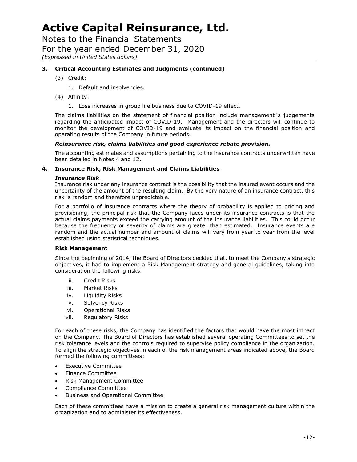Notes to the Financial Statements For the year ended December 31, 2020 *(Expressed in United States dollars)*

#### **3. Critical Accounting Estimates and Judgments (continued)**

(3) Credit:

1. Default and insolvencies.

- (4) Affinity:
	- 1. Loss increases in group life business due to COVID-19 effect.

The claims liabilities on the statement of financial position include management´s judgements regarding the anticipated impact of COVID-19. Management and the directors will continue to monitor the development of COVID-19 and evaluate its impact on the financial position and operating results of the Company in future periods.

#### *Reinsurance risk, claims liabilities and good experience rebate provision.*

The accounting estimates and assumptions pertaining to the insurance contracts underwritten have been detailed in Notes 4 and 12.

#### **4. Insurance Risk, Risk Management and Claims Liabilities**

#### *Insurance Risk*

Insurance risk under any insurance contract is the possibility that the insured event occurs and the uncertainty of the amount of the resulting claim. By the very nature of an insurance contract, this risk is random and therefore unpredictable.

For a portfolio of insurance contracts where the theory of probability is applied to pricing and provisioning, the principal risk that the Company faces under its insurance contracts is that the actual claims payments exceed the carrying amount of the insurance liabilities. This could occur because the frequency or severity of claims are greater than estimated. Insurance events are random and the actual number and amount of claims will vary from year to year from the level established using statistical techniques.

#### **Risk Management**

Since the beginning of 2014, the Board of Directors decided that, to meet the Company's strategic objectives, it had to implement a Risk Management strategy and general guidelines, taking into consideration the following risks.

- ii. Credit Risks
- iii. Market Risks
- iv. Liquidity Risks
- v. Solvency Risks
- vi. Operational Risks
- vii. Regulatory Risks

For each of these risks, the Company has identified the factors that would have the most impact on the Company. The Board of Directors has established several operating Committees to set the risk tolerance levels and the controls required to supervise policy compliance in the organization. To align the strategic objectives in each of the risk management areas indicated above, the Board formed the following committees:

- Executive Committee
- Finance Committee
- Risk Management Committee
- Compliance Committee
- Business and Operational Committee

Each of these committees have a mission to create a general risk management culture within the organization and to administer its effectiveness.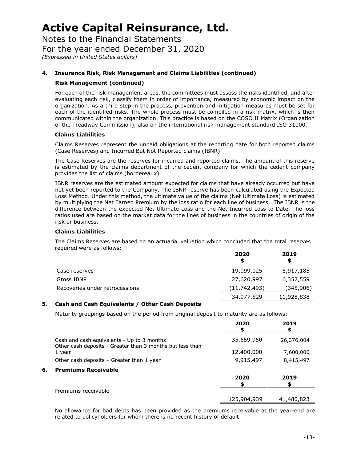Notes to the Financial Statements For the year ended December 31, 2020 *(Expressed in United States dollars)*

#### **4. Insurance Risk, Risk Management and Claims Liabilities (continued)**

#### **Risk Management (continued)**

For each of the risk management areas, the committees must assess the risks identified, and after evaluating each risk, classify them in order of importance, measured by economic impact on the organization. As a third step in the process, prevention and mitigation measures must be set for each of the identified risks. The whole process must be compiled in a risk matrix, which is then communicated within the organization. This practice is based on the COSO II Matrix (Organization of the Treadway Commission), also on the international risk management standard ISO 31000.

#### **Claims Liabilities**

Claims Reserves represent the unpaid obligations at the reporting date for both reported claims (Case Reserves) and Incurred But Not Reported claims (IBNR).

The Case Reserves are the reserves for incurred and reported claims. The amount of this reserve is estimated by the claims department of the cedent company for which the cedent company provides the list of claims (bordereaux).

IBNR reserves are the estimated amount expected for claims that have already occurred but have not yet been reported to the Company. The IBNR reserve has been calculated using the Expected Loss Method. Under this method, the ultimate value of the claims (Net Ultimate Loss) is estimated by multiplying the Net Earned Premium by the loss ratio for each line of business. The IBNR is the difference between the expected Net Ultimate Loss and the Net Incurred Loss to Date. The loss ratios used are based on the market data for the lines of business in the countries of origin of the risk or business.

#### **Claims Liabilities**

The Claims Reserves are based on an actuarial valuation which concluded that the total reserves required were as follows:

|                                | 2020         | 2019       |
|--------------------------------|--------------|------------|
| Case reserves                  | 19,099,025   | 5,917,185  |
| Gross IBNR                     | 27,620,997   | 6,357,559  |
| Recoveries under retrocessions | (11,742,493) | (345,906)  |
|                                | 34,977,529   | 11,928,838 |

#### **5. Cash and Cash Equivalents / Other Cash Deposits**

Maturity groupings based on the period from original deposit to maturity are as follows:

|    |                                                                                                         | 2020<br>\$  | 2019<br>\$ |
|----|---------------------------------------------------------------------------------------------------------|-------------|------------|
|    | Cash and cash equivalents - Up to 3 months<br>Other cash deposits - Greater than 3 months but less than | 35,659,950  | 26,376,004 |
|    | 1 year                                                                                                  | 12,400,000  | 7,600,000  |
|    | Other cash deposits - Greater than 1 year                                                               | 9,915,497   | 8,415,497  |
| 6. | <b>Premiums Receivable</b>                                                                              |             |            |
|    |                                                                                                         | 2020        | 2019       |
|    | Premiums receivable                                                                                     |             |            |
|    |                                                                                                         | 125,904,939 | 41,480,823 |

No allowance for bad debts has been provided as the premiums receivable at the year-end are related to policyholders for whom there is no recent history of default.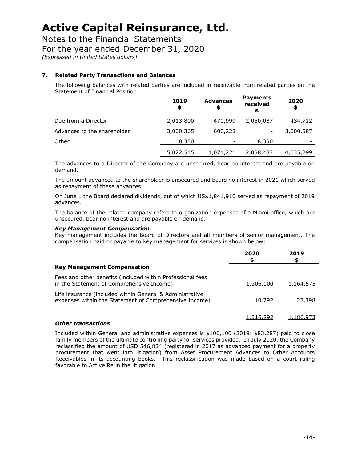Notes to the Financial Statements

For the year ended December 31, 2020

*(Expressed in United States dollars)*

#### **7. Related Party Transactions and Balances**

The following balances with related parties are included in receivable from related parties on the Statement of Financial Position:

|                             | 2019<br>\$ | <b>Advances</b><br>\$ | <b>Payments</b><br>received<br>S | 2020<br>\$ |
|-----------------------------|------------|-----------------------|----------------------------------|------------|
| Due from a Director         | 2,013,800  | 470,999               | 2,050,087                        | 434,712    |
| Advances to the shareholder | 3,000,365  | 600,222               |                                  | 3,600,587  |
| Other                       | 8,350      |                       | 8,350                            |            |
|                             | 5,022,515  | 1,071,221             | 2,058,437                        | 4,035,299  |

The advances to a Director of the Company are unsecured, bear no interest and are payable on demand.

The amount advanced to the shareholder is unsecured and bears no interest in 2021 which served as repayment of these advances.

On June 1 the Board declared dividends, out of which US\$1,841,910 served as repayment of 2019 advances.

The balance of the related company refers to organization expenses of a Miami office, which are unsecured, bear no interest and are payable on demand.

#### *Key Management Compensation*

Key management includes the Board of Directors and all members of senior management. The compensation paid or payable to key management for services is shown below:

|                                                                                                                    | 2020<br>S | 2019      |
|--------------------------------------------------------------------------------------------------------------------|-----------|-----------|
| <b>Key Management Compensation</b>                                                                                 |           |           |
| Fees and other benefits (included within Professional fees<br>in the Statement of Comprehensive Income)            | 1,306,100 | 1,164,575 |
| Life insurance (included within General & Administrative<br>expenses within the Statement of Comprehensive Income) | 10,792    | 22,398    |
|                                                                                                                    | 1,316,892 | 1,186,973 |

#### *Other transactions*

Included within General and administrative expenses is \$106,100 (2019: \$83,287) paid to close family members of the ultimate controlling party for services provided. In July 2020, the Company reclassified the amount of USD 546,834 (registered in 2017 as advanced payment for a property procurement that went into litigation) from Asset Procurement Advances to Other Accounts Receivables in its accounting books. This reclassification was made based on a court ruling favorable to Active Re in the litigation.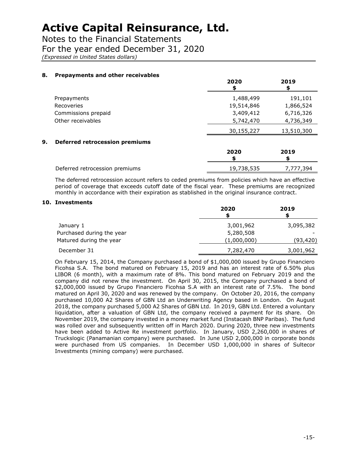Notes to the Financial Statements

For the year ended December 31, 2020

*(Expressed in United States dollars)*

#### **8. Prepayments and other receivables**

|                                             | 2020       | 2019       |
|---------------------------------------------|------------|------------|
| Prepayments                                 | 1,488,499  | 191,101    |
| Recoveries                                  | 19,514,846 | 1,866,524  |
| Commissions prepaid                         | 3,409,412  | 6,716,326  |
| Other receivables                           | 5,742,470  | 4,736,349  |
|                                             | 30,155,227 | 13,510,300 |
| 9.<br><b>Deferred retrocession premiums</b> |            |            |
|                                             | 2020<br>S  | 2019       |
| Deferred retrocession premiums              | 19,738,535 | 7,777,394  |

The deferred retrocession account refers to ceded premiums from policies which have an effective period of coverage that exceeds cutoff date of the fiscal year. These premiums are recognized monthly in accordance with their expiration as stablished in the original insurance contract.

#### **10. Investments**

|                           | 2020        | 2019      |
|---------------------------|-------------|-----------|
| January 1                 | 3,001,962   | 3,095,382 |
| Purchased during the year | 5,280,508   |           |
| Matured during the year   | (1,000,000) | (93, 420) |
| December 31               | 7,282,470   | 3,001,962 |

On February 15, 2014, the Company purchased a bond of \$1,000,000 issued by Grupo Financiero Ficohsa S.A. The bond matured on February 15, 2019 and has an interest rate of 6.50% plus LIBOR (6 month), with a maximum rate of 8%. This bond matured on February 2019 and the company did not renew the investment. On April 30, 2015, the Company purchased a bond of \$2,000,000 issued by Grupo Financiero Ficohsa S.A with an interest rate of 7.5%. The bond matured on April 30, 2020 and was renewed by the company. On October 20, 2016, the company purchased 10,000 A2 Shares of GBN Ltd an Underwriting Agency based in London. On August 2018, the company purchased 5,000 A2 Shares of GBN Ltd. In 2019, GBN Ltd. Entered a voluntary liquidation, after a valuation of GBN Ltd, the company received a payment for its share. On November 2019, the company invested in a money market fund (Instacash BNP Paribas). The fund was rolled over and subsequently written off in March 2020. During 2020, three new investments have been added to Active Re investment portfolio. In January, USD 2,260,000 in shares of Truckslogic (Panamanian company) were purchased. In June USD 2,000,000 in corporate bonds were purchased from US companies. In December USD 1,000,000 in shares of Sultecor Investments (mining company) were purchased.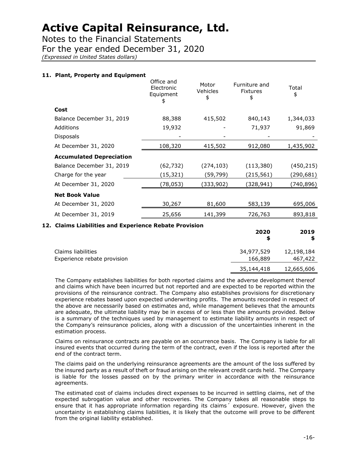Notes to the Financial Statements For the year ended December 31, 2020

*(Expressed in United States dollars)*

#### **11. Plant, Property and Equipment**

|                                                        |                                             |                         | 2020<br>\$                             | 2019<br>\$  |
|--------------------------------------------------------|---------------------------------------------|-------------------------|----------------------------------------|-------------|
| 12. Claims Liabilities and Experience Rebate Provision |                                             |                         |                                        |             |
| At December 31, 2019                                   | 25,656                                      | 141,399                 | 726,763                                | 893,818     |
| At December 31, 2020                                   | 30,267                                      | 81,600                  | 583,139                                | 695,006     |
| <b>Net Book Value</b>                                  |                                             |                         |                                        |             |
| At December 31, 2020                                   | (78,053)                                    | (333,902)               | (328,941)                              | (740,896)   |
| Charge for the year                                    | (15,321)                                    | (59,799)                | (215,561)                              | (290,681)   |
| Balance December 31, 2019                              | (62, 732)                                   | (274, 103)              | (113, 380)                             | (450, 215)  |
| <b>Accumulated Depreciation</b>                        |                                             |                         |                                        |             |
| At December 31, 2020                                   | 108,320                                     | 415,502                 | 912,080                                | 1,435,902   |
| <b>Disposals</b>                                       |                                             |                         |                                        |             |
| Additions                                              | 19,932                                      |                         | 71,937                                 | 91,869      |
| Balance December 31, 2019                              | 88,388                                      | 415,502                 | 840,143                                | 1,344,033   |
| Cost                                                   |                                             |                         |                                        |             |
|                                                        | Office and<br>Electronic<br>Equipment<br>\$ | Motor<br>Vehicles<br>\$ | Furniture and<br><b>Fixtures</b><br>\$ | Total<br>\$ |

| Claims liabilities          | 34,977,529 | 12,198,184 |
|-----------------------------|------------|------------|
| Experience rebate provision | 166,889    | 467,422    |
|                             | 35,144,418 | 12,665,606 |

The Company establishes liabilities for both reported claims and the adverse development thereof and claims which have been incurred but not reported and are expected to be reported within the provisions of the reinsurance contract. The Company also establishes provisions for discretionary experience rebates based upon expected underwriting profits. The amounts recorded in respect of the above are necessarily based on estimates and, while management believes that the amounts are adequate, the ultimate liability may be in excess of or less than the amounts provided. Below is a summary of the techniques used by management to estimate liability amounts in respect of the Company's reinsurance policies, along with a discussion of the uncertainties inherent in the estimation process.

Claims on reinsurance contracts are payable on an occurrence basis. The Company is liable for all insured events that occurred during the term of the contract, even if the loss is reported after the end of the contract term.

The claims paid on the underlying reinsurance agreements are the amount of the loss suffered by the insured party as a result of theft or fraud arising on the relevant credit cards held. The Company is liable for the losses passed on by the primary writer in accordance with the reinsurance agreements.

The estimated cost of claims includes direct expenses to be incurred in settling claims, net of the expected subrogation value and other recoveries. The Company takes all reasonable steps to ensure that it has appropriate information regarding its claims´ exposure. However, given the uncertainty in establishing claims liabilities, it is likely that the outcome will prove to be different from the original liability established.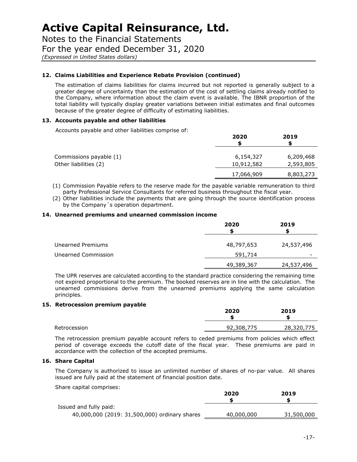Notes to the Financial Statements For the year ended December 31, 2020 *(Expressed in United States dollars)*

#### **12. Claims Liabilities and Experience Rebate Provision (continued)**

The estimation of claims liabilities for claims incurred but not reported is generally subject to a greater degree of uncertainty than the estimation of the cost of settling claims already notified to the Company, where information about the claim event is available. The IBNR proportion of the total liability will typically display greater variations between initial estimates and final outcomes because of the greater degree of difficulty of estimating liabilities.

#### **13. Accounts payable and other liabilities**

Accounts payable and other liabilities comprise of:

|                         | 2020       | 2019      |
|-------------------------|------------|-----------|
| Commissions payable (1) | 6,154,327  | 6,209,468 |
| Other liabilities (2)   | 10,912,582 | 2,593,805 |
|                         | 17,066,909 | 8,803,273 |

(1) Commission Payable refers to the reserve made for the payable variable remuneration to third party Professional Service Consultants for referred business throughout the fiscal year.

(2) Other liabilities include the payments that are going through the source identification process by the Company´s operation department.

#### **14. Unearned premiums and unearned commission income**

|                     | 2020       | 2019       |
|---------------------|------------|------------|
| Unearned Premiums   | 48,797,653 | 24,537,496 |
| Unearned Commission | 591,714    |            |
|                     | 49,389,367 | 24,537,496 |

The UPR reserves are calculated according to the standard practice considering the remaining time not expired proportional to the premium. The booked reserves are in line with the calculation. The unearned commissions derive from the unearned premiums applying the same calculation principles.

#### **15. Retrocession premium payable**

|              | 2020       | 2019       |
|--------------|------------|------------|
| Retrocession | 92,308,775 | 28,320,775 |

The retrocession premium payable account refers to ceded premiums from policies which effect period of coverage exceeds the cutoff date of the fiscal year. These premiums are paid in accordance with the collection of the accepted premiums.

#### **16. Share Capital**

The Company is authorized to issue an unlimited number of shares of no-par value. All shares issued are fully paid at the statement of financial position date.

Share capital comprises:

|                                               | 2020       | 2019       |
|-----------------------------------------------|------------|------------|
|                                               |            |            |
| Issued and fully paid:                        |            |            |
| 40,000,000 (2019: 31,500,000) ordinary shares | 40,000,000 | 31,500,000 |
|                                               |            |            |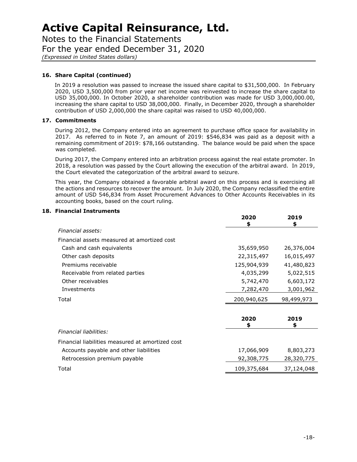Notes to the Financial Statements For the year ended December 31, 2020 *(Expressed in United States dollars)*

#### **16. Share Capital (continued)**

In 2019 a resolution was passed to increase the issued share capital to \$31,500,000. In February 2020, USD 3,500,000 from prior year net income was reinvested to increase the share capital to USD 35,000,000. In October 2020, a shareholder contribution was made for USD 3,000,000.00, increasing the share capital to USD 38,000,000. Finally, in December 2020, through a shareholder contribution of USD 2,000,000 the share capital was raised to USD 40,000,000.

#### **17. Commitments**

During 2012, the Company entered into an agreement to purchase office space for availability in 2017. As referred to in Note 7, an amount of 2019: \$546,834 was paid as a deposit with a remaining commitment of 2019: \$78,166 outstanding. The balance would be paid when the space was completed.

During 2017, the Company entered into an arbitration process against the real estate promoter. In 2018, a resolution was passed by the Court allowing the execution of the arbitral award. In 2019, the Court elevated the categorization of the arbitral award to seizure.

This year, the Company obtained a favorable arbitral award on this process and is exercising all the actions and resources to recover the amount. In July 2020, the Company reclassified the entire amount of USD 546,834 from Asset Procurement Advances to Other Accounts Receivables in its accounting books, based on the court ruling.

|                                                  | 2020<br>S   | 2019<br>\$ |
|--------------------------------------------------|-------------|------------|
| Financial assets:                                |             |            |
| Financial assets measured at amortized cost      |             |            |
| Cash and cash equivalents                        | 35,659,950  | 26,376,004 |
| Other cash deposits                              | 22,315,497  | 16,015,497 |
| Premiums receivable                              | 125,904,939 | 41,480,823 |
| Receivable from related parties                  | 4,035,299   | 5,022,515  |
| Other receivables                                | 5,742,470   | 6,603,172  |
| Investments                                      | 7,282,470   | 3,001,962  |
| Total                                            | 200,940,625 | 98,499,973 |
|                                                  | 2020<br>\$  | 2019<br>\$ |
| Financial liabilities:                           |             |            |
| Financial liabilities measured at amortized cost |             |            |
| Accounts payable and other liabilities           | 17,066,909  | 8,803,273  |
| Retrocession premium payable                     | 92,308,775  | 28,320,775 |
| Total                                            | 109,375,684 | 37,124,048 |

#### **18. Financial Instruments**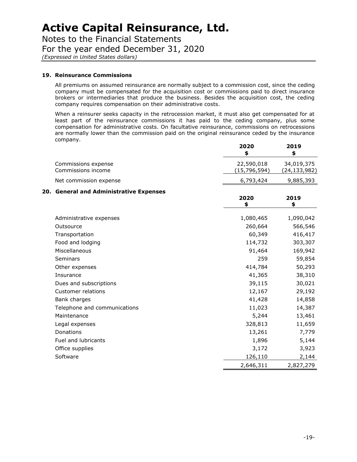Notes to the Financial Statements For the year ended December 31, 2020 *(Expressed in United States dollars)*

#### **19. Reinsurance Commissions**

All premiums on assumed reinsurance are normally subject to a commission cost, since the ceding company must be compensated for the acquisition cost or commissions paid to direct insurance brokers or intermediaries that produce the business. Besides the acquisition cost, the ceding company requires compensation on their administrative costs.

When a reinsurer seeks capacity in the retrocession market, it must also get compensated for at least part of the reinsurance commissions it has paid to the ceding company, plus some compensation for administrative costs. On facultative reinsurance, commissions on retrocessions are normally lower than the commission paid on the original reinsurance ceded by the insurance company.

|                                           | 2020<br>\$                 | 2019<br>\$                   |
|-------------------------------------------|----------------------------|------------------------------|
| Commissions expense<br>Commissions income | 22,590,018<br>(15,796,594) | 34,019,375<br>(24, 133, 982) |
| Net commission expense                    | 6,793,424                  | 9,885,393                    |
| 20. General and Administrative Expenses   |                            |                              |
|                                           | 2020                       | 2019                         |
|                                           | \$                         | \$                           |
| Administrative expenses                   | 1,080,465                  | 1,090,042                    |
| Outsource                                 | 260,664                    | 566,546                      |
| Transportation                            | 60,349                     | 416,417                      |
| Food and lodging                          | 114,732                    | 303,307                      |
| Miscellaneous                             | 91,464                     | 169,942                      |
| Seminars                                  | 259                        | 59,854                       |
| Other expenses                            | 414,784                    | 50,293                       |
| Insurance                                 | 41,365                     | 38,310                       |
| Dues and subscriptions                    | 39,115                     | 30,021                       |
| <b>Customer relations</b>                 | 12,167                     | 29,192                       |
| Bank charges                              | 41,428                     | 14,858                       |
| Telephone and communications              | 11,023                     | 14,387                       |
| Maintenance                               | 5,244                      | 13,461                       |
| Legal expenses                            | 328,813                    | 11,659                       |
| Donations                                 | 13,261                     | 7,779                        |
| Fuel and lubricants                       | 1,896                      | 5,144                        |
| Office supplies                           | 3,172                      | 3,923                        |
| Software                                  | 126,110                    | 2,144                        |
|                                           | 2,646,311                  | 2,827,279                    |